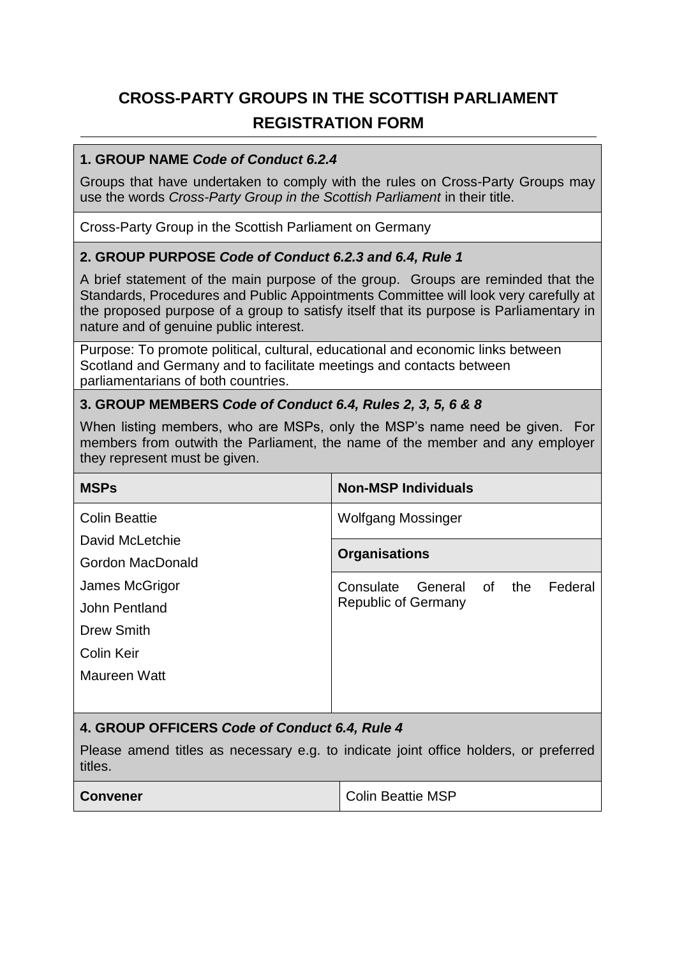# **CROSS-PARTY GROUPS IN THE SCOTTISH PARLIAMENT REGISTRATION FORM**

### **1. GROUP NAME** *Code of Conduct 6.2.4*

Groups that have undertaken to comply with the rules on Cross-Party Groups may use the words *Cross-Party Group in the Scottish Parliament* in their title.

Cross-Party Group in the Scottish Parliament on Germany

## **2. GROUP PURPOSE** *Code of Conduct 6.2.3 and 6.4, Rule 1*

A brief statement of the main purpose of the group. Groups are reminded that the Standards, Procedures and Public Appointments Committee will look very carefully at the proposed purpose of a group to satisfy itself that its purpose is Parliamentary in nature and of genuine public interest.

Purpose: To promote political, cultural, educational and economic links between Scotland and Germany and to facilitate meetings and contacts between parliamentarians of both countries.

### **3. GROUP MEMBERS** *Code of Conduct 6.4, Rules 2, 3, 5, 6 & 8*

When listing members, who are MSPs, only the MSP's name need be given. For members from outwith the Parliament, the name of the member and any employer they represent must be given.

| <b>MSPs</b>                                                                                     | <b>Non-MSP Individuals</b> |  |                |
|-------------------------------------------------------------------------------------------------|----------------------------|--|----------------|
| <b>Colin Beattie</b><br>David McLetchie<br>Gordon MacDonald                                     | Wolfgang Mossinger         |  |                |
|                                                                                                 | <b>Organisations</b>       |  |                |
|                                                                                                 |                            |  | James McGrigor |
| John Pentland                                                                                   |                            |  |                |
| Drew Smith                                                                                      |                            |  |                |
| Colin Keir                                                                                      |                            |  |                |
| Maureen Watt                                                                                    |                            |  |                |
|                                                                                                 |                            |  |                |
| 4. GROUP OFFICERS Code of Conduct 6.4, Rule 4                                                   |                            |  |                |
| Please amend titles as necessary e.g. to indicate joint office holders, or preferred<br>titles. |                            |  |                |

| <b>Convener</b> | Colin Beattie MSP |
|-----------------|-------------------|
|-----------------|-------------------|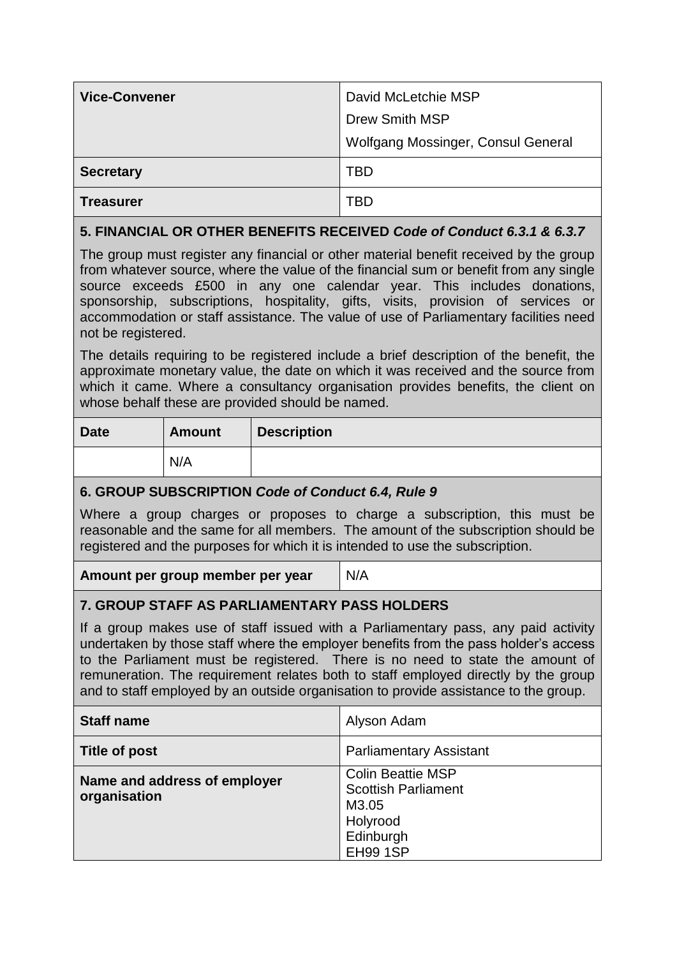| <b>Vice-Convener</b>                                                                                                                                                                                                                                                                                                                                                                                                                                       |               |                    | David McLetchie MSP                                                                                         |  |
|------------------------------------------------------------------------------------------------------------------------------------------------------------------------------------------------------------------------------------------------------------------------------------------------------------------------------------------------------------------------------------------------------------------------------------------------------------|---------------|--------------------|-------------------------------------------------------------------------------------------------------------|--|
|                                                                                                                                                                                                                                                                                                                                                                                                                                                            |               |                    | <b>Drew Smith MSP</b>                                                                                       |  |
|                                                                                                                                                                                                                                                                                                                                                                                                                                                            |               |                    | Wolfgang Mossinger, Consul General                                                                          |  |
| <b>Secretary</b>                                                                                                                                                                                                                                                                                                                                                                                                                                           |               |                    | <b>TBD</b>                                                                                                  |  |
| <b>Treasurer</b>                                                                                                                                                                                                                                                                                                                                                                                                                                           |               |                    | <b>TBD</b>                                                                                                  |  |
| 5. FINANCIAL OR OTHER BENEFITS RECEIVED Code of Conduct 6.3.1 & 6.3.7                                                                                                                                                                                                                                                                                                                                                                                      |               |                    |                                                                                                             |  |
| The group must register any financial or other material benefit received by the group<br>from whatever source, where the value of the financial sum or benefit from any single<br>source exceeds £500 in any one calendar year. This includes donations,<br>sponsorship, subscriptions, hospitality, gifts, visits, provision of services or<br>accommodation or staff assistance. The value of use of Parliamentary facilities need<br>not be registered. |               |                    |                                                                                                             |  |
| The details requiring to be registered include a brief description of the benefit, the<br>approximate monetary value, the date on which it was received and the source from<br>which it came. Where a consultancy organisation provides benefits, the client on<br>whose behalf these are provided should be named.                                                                                                                                        |               |                    |                                                                                                             |  |
| <b>Date</b>                                                                                                                                                                                                                                                                                                                                                                                                                                                | <b>Amount</b> | <b>Description</b> |                                                                                                             |  |
|                                                                                                                                                                                                                                                                                                                                                                                                                                                            | N/A           |                    |                                                                                                             |  |
| 6. GROUP SUBSCRIPTION Code of Conduct 6.4, Rule 9                                                                                                                                                                                                                                                                                                                                                                                                          |               |                    |                                                                                                             |  |
| Where a group charges or proposes to charge a subscription, this must be<br>reasonable and the same for all members. The amount of the subscription should be<br>registered and the purposes for which it is intended to use the subscription.                                                                                                                                                                                                             |               |                    |                                                                                                             |  |
| Amount per group member per year                                                                                                                                                                                                                                                                                                                                                                                                                           |               |                    | N/A                                                                                                         |  |
| <b>7. GROUP STAFF AS PARLIAMENTARY PASS HOLDERS</b>                                                                                                                                                                                                                                                                                                                                                                                                        |               |                    |                                                                                                             |  |
| If a group makes use of staff issued with a Parliamentary pass, any paid activity<br>undertaken by those staff where the employer benefits from the pass holder's access<br>to the Parliament must be registered. There is no need to state the amount of<br>remuneration. The requirement relates both to staff employed directly by the group<br>and to staff employed by an outside organisation to provide assistance to the group.                    |               |                    |                                                                                                             |  |
| <b>Staff name</b>                                                                                                                                                                                                                                                                                                                                                                                                                                          |               |                    | Alyson Adam                                                                                                 |  |
| <b>Title of post</b>                                                                                                                                                                                                                                                                                                                                                                                                                                       |               |                    | <b>Parliamentary Assistant</b>                                                                              |  |
| Name and address of employer<br>organisation                                                                                                                                                                                                                                                                                                                                                                                                               |               |                    | <b>Colin Beattie MSP</b><br><b>Scottish Parliament</b><br>M3.05<br>Holyrood<br>Edinburgh<br><b>EH99 1SP</b> |  |
|                                                                                                                                                                                                                                                                                                                                                                                                                                                            |               |                    |                                                                                                             |  |